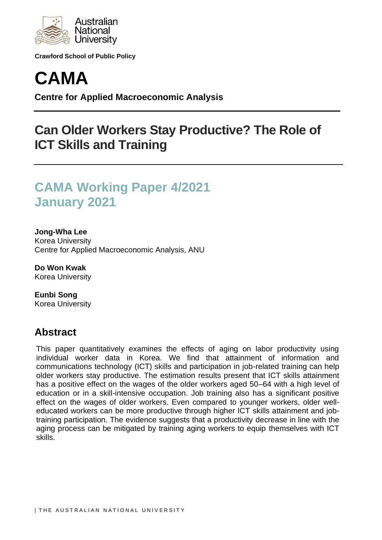

**Crawford School of Public Policy**



**Centre for Applied Macroeconomic Analysis**

## **Can Older Workers Stay Productive? The Role of ICT Skills and Training**

# **CAMA Working Paper 4/2021 January 2021**

### **Jong-Wha Lee**

Korea University Centre for Applied Macroeconomic Analysis, ANU

**Do Won Kwak** Korea University

**Eunbi Song** Korea University

## **Abstract**

This paper quantitatively examines the effects of aging on labor productivity using individual worker data in Korea. We find that attainment of information and communications technology (ICT) skills and participation in job-related training can help older workers stay productive. The estimation results present that ICT skills attainment has a positive effect on the wages of the older workers aged 50–64 with a high level of education or in a skill-intensive occupation. Job training also has a significant positive effect on the wages of older workers. Even compared to younger workers, older welleducated workers can be more productive through higher ICT skills attainment and jobtraining participation. The evidence suggests that a productivity decrease in line with the aging process can be mitigated by training aging workers to equip themselves with ICT skills.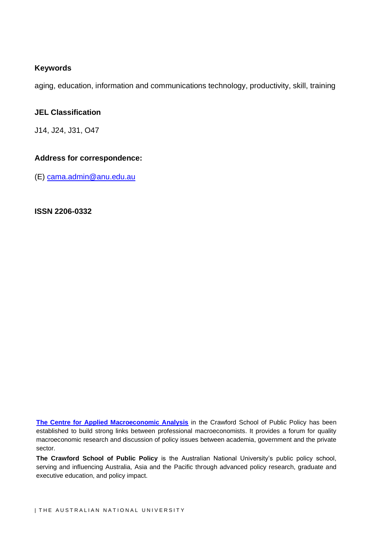## **Keywords**

aging, education, information and communications technology, productivity, skill, training

## **JEL Classification**

J14, J24, J31, O47

## **Address for correspondence:**

(E) [cama.admin@anu.edu.au](mailto:cama.admin@anu.edu.au)

**ISSN 2206-0332**

**[The Centre for Applied Macroeconomic Analysis](http://cama.crawford.anu.edu.au/)** in the Crawford School of Public Policy has been established to build strong links between professional macroeconomists. It provides a forum for quality macroeconomic research and discussion of policy issues between academia, government and the private sector.

**The Crawford School of Public Policy** is the Australian National University's public policy school, serving and influencing Australia, Asia and the Pacific through advanced policy research, graduate and executive education, and policy impact.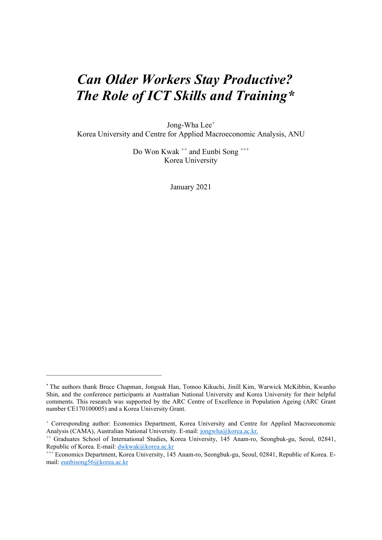# *Can Older Workers Stay Productive? The Role of ICT Skills and Training\**

Jong-Wha Lee<sup>+</sup>

Korea University and Centre for Applied Macroeconomic Analysis, ANU

Do Won Kwak<sup>++</sup> and Eunbi Song<sup>+++</sup> Korea University

January 2021

\_\_\_\_\_\_\_\_\_\_\_\_\_\_\_\_\_\_\_\_\_\_\_\_\_\_\_\_\_\_\_\_\_\_\_\_

<sup>\*</sup> The authors thank Bruce Chapman, Jongsuk Han, Tomoo Kikuchi, Jinill Kim, Warwick McKibbin, Kwanho Shin, and the conference participants at Australian National University and Korea University for their helpful comments. This research was supported by the ARC Centre of Excellence in Population Ageing (ARC Grant number CE170100005) and a Korea University Grant.

<sup>+</sup> Corresponding author: Economics Department, Korea University and Centre for Applied Macroeconomic Analysis (CAMA), Australian National University. E-mail: jongwha@korea.ac.kr.

<sup>&</sup>lt;sup>++</sup> Graduates School of International Studies, Korea University, 145 Anam-ro, Seongbuk-gu, Seoul, 02841, Republic of Korea. E-mail: [dwkwak@korea.ac.kr](mailto:dwkwak@korea.ac.kr)

<sup>+++</sup> Economics Department, Korea University, 145 Anam-ro, Seongbuk-gu, Seoul, 02841, Republic of Korea. Email: eunbisong56@korea.ac.kr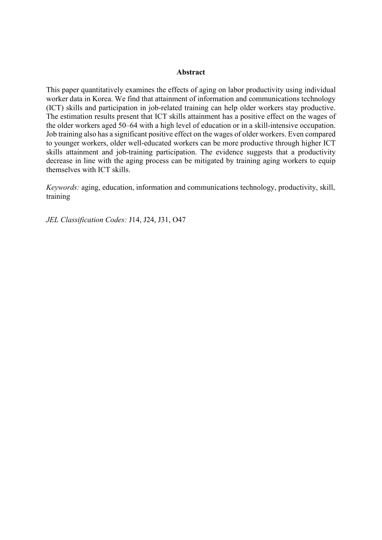#### **Abstract**

This paper quantitatively examines the effects of aging on labor productivity using individual worker data in Korea. We find that attainment of information and communications technology (ICT) skills and participation in job-related training can help older workers stay productive. The estimation results present that ICT skills attainment has a positive effect on the wages of the older workers aged 50–64 with a high level of education or in a skill-intensive occupation. Job training also has a significant positive effect on the wages of older workers. Even compared to younger workers, older well-educated workers can be more productive through higher ICT skills attainment and job-training participation. The evidence suggests that a productivity decrease in line with the aging process can be mitigated by training aging workers to equip themselves with ICT skills.

*Keywords:* aging, education, information and communications technology, productivity, skill, training

*JEL Classification Codes:* J14, J24, J31, O47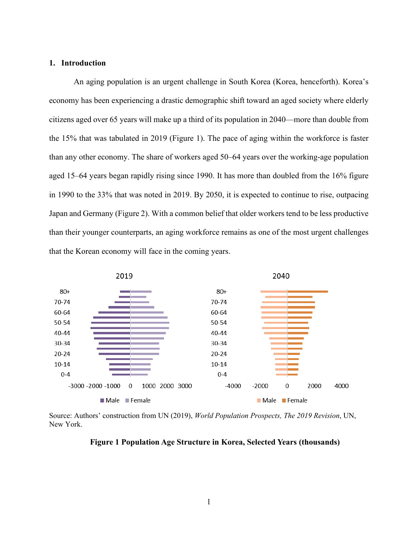#### **1. Introduction**

An aging population is an urgent challenge in South Korea (Korea, henceforth). Korea's economy has been experiencing a drastic demographic shift toward an aged society where elderly citizens aged over 65 years will make up a third of its population in 2040—more than double from the 15% that was tabulated in 2019 (Figure 1). The pace of aging within the workforce is faster than any other economy. The share of workers aged 50–64 years over the working-age population aged 15–64 years began rapidly rising since 1990. It has more than doubled from the 16% figure in 1990 to the 33% that was noted in 2019. By 2050, it is expected to continue to rise, outpacing Japan and Germany (Figure 2). With a common belief that older workers tend to be less productive than their younger counterparts, an aging workforce remains as one of the most urgent challenges that the Korean economy will face in the coming years.



Source: Authors' construction from UN (2019), *World Population Prospects, The 2019 Revision*, UN, New York.

#### **Figure 1 Population Age Structure in Korea, Selected Years (thousands)**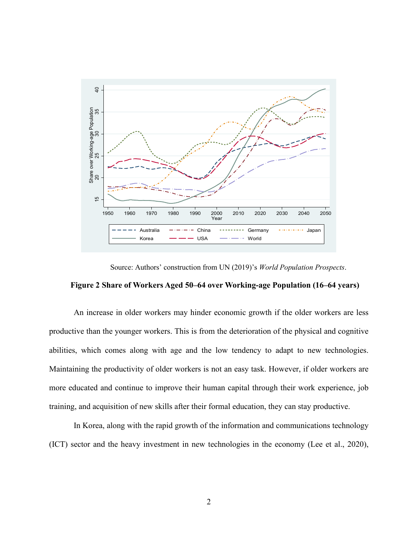

Source: Authors' construction from UN (2019)'s *World Population Prospects*.

### **Figure 2 Share of Workers Aged 50–64 over Working-age Population (16–64 years)**

An increase in older workers may hinder economic growth if the older workers are less productive than the younger workers. This is from the deterioration of the physical and cognitive abilities, which comes along with age and the low tendency to adapt to new technologies. Maintaining the productivity of older workers is not an easy task. However, if older workers are more educated and continue to improve their human capital through their work experience, job training, and acquisition of new skills after their formal education, they can stay productive.

In Korea, along with the rapid growth of the information and communications technology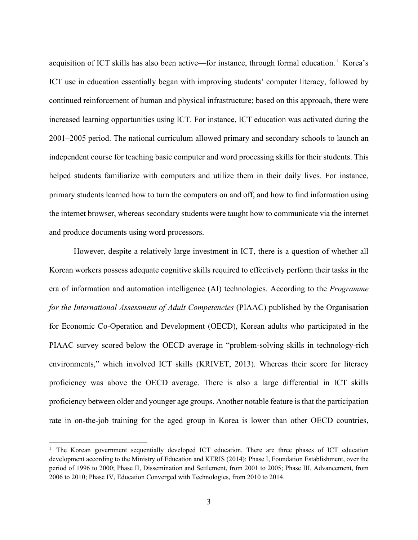acquisition of ICT skills has also been active—for instance, through formal education.<sup>[1](#page-6-0)</sup> Korea's ICT use in education essentially began with improving students' computer literacy, followed by continued reinforcement of human and physical infrastructure; based on this approach, there were increased learning opportunities using ICT. For instance, ICT education was activated during the 2001–2005 period. The national curriculum allowed primary and secondary schools to launch an independent course for teaching basic computer and word processing skills for their students. This helped students familiarize with computers and utilize them in their daily lives. For instance, primary students learned how to turn the computers on and off, and how to find information using the internet browser, whereas secondary students were taught how to communicate via the internet and produce documents using word processors.

However, despite a relatively large investment in ICT, there is a question of whether all Korean workers possess adequate cognitive skills required to effectively perform their tasks in the era of information and automation intelligence (AI) technologies. According to the *Programme for the International Assessment of Adult Competencies (PIAAC)* published by the Organisation for Economic Co-Operation and Development (OECD), Korean adults who participated in the PIAAC survey scored below the OECD average in "problem-solving skills in technology-rich environments," which involved ICT skills (KRIVET, 2013). Whereas their score for literacy proficiency was above the OECD average. There is also a large differential in ICT skills proficiency between older and younger age groups. Another notable feature is that the participation rate in on-the-job training for the aged group in Korea is lower than other OECD countries,

<span id="page-6-0"></span><sup>&</sup>lt;sup>1</sup> The Korean government sequentially developed ICT education. There are three phases of ICT education development according to the Ministry of Education and KERIS (2014): Phase I, Foundation Establishment, over the period of 1996 to 2000; Phase II, Dissemination and Settlement, from 2001 to 2005; Phase III, Advancement, from 2006 to 2010; Phase IV, Education Converged with Technologies, from 2010 to 2014.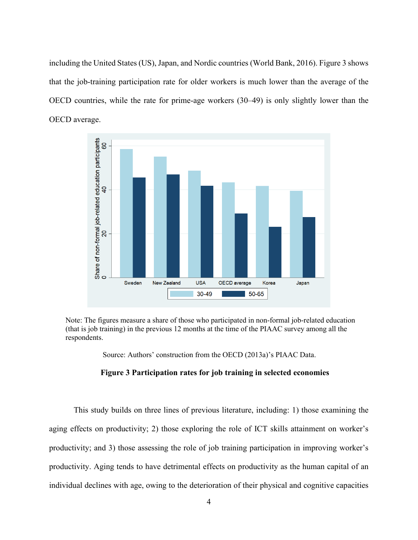including the United States (US), Japan, and Nordic countries (World Bank, 2016). Figure 3 shows that the job-training participation rate for older workers is much lower than the average of the OECD countries, while the rate for prime-age workers (30–49) is only slightly lower than the OECD average.



Note: The figures measure a share of those who participated in non-formal job-related education (that is job training) in the previous 12 months at the time of the PIAAC survey among all the respondents.

Source: Authors' construction from the OECD (2013a)'s PIAAC Data.

#### **Figure 3 Participation rates for job training in selected economies**

This study builds on three lines of previous literature, including: 1) those examining the aging effects on productivity; 2) those exploring the role of ICT skills attainment on worker's productivity; and 3) those assessing the role of job training participation in improving worker's productivity. Aging tends to have detrimental effects on productivity as the human capital of an individual declines with age, owing to the deterioration of their physical and cognitive capacities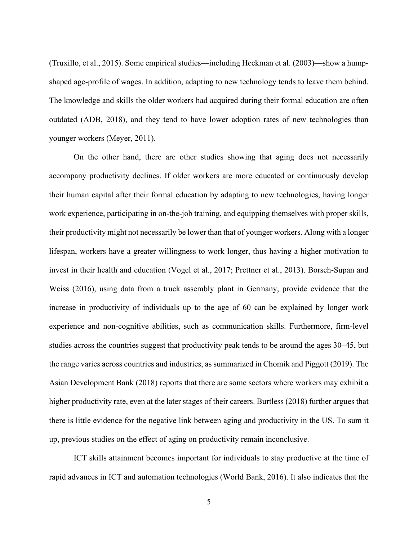(Truxillo, et al., 2015). Some empirical studies—including Heckman et al. (2003)—show a humpshaped age-profile of wages. In addition, adapting to new technology tends to leave them behind. The knowledge and skills the older workers had acquired during their formal education are often outdated (ADB, 2018), and they tend to have lower adoption rates of new technologies than younger workers (Meyer, 2011).

On the other hand, there are other studies showing that aging does not necessarily accompany productivity declines. If older workers are more educated or continuously develop their human capital after their formal education by adapting to new technologies, having longer work experience, participating in on-the-job training, and equipping themselves with proper skills, their productivity might not necessarily be lower than that of younger workers. Along with a longer lifespan, workers have a greater willingness to work longer, thus having a higher motivation to invest in their health and education (Vogel et al., 2017; Prettner et al., 2013). Borsch-Supan and Weiss (2016), using data from a truck assembly plant in Germany, provide evidence that the increase in productivity of individuals up to the age of 60 can be explained by longer work experience and non-cognitive abilities, such as communication skills. Furthermore, firm-level studies across the countries suggest that productivity peak tends to be around the ages 30–45, but the range varies across countries and industries, as summarized in Chomik and Piggott (2019). The Asian Development Bank (2018) reports that there are some sectors where workers may exhibit a higher productivity rate, even at the later stages of their careers. Burtless (2018) further argues that there is little evidence for the negative link between aging and productivity in the US. To sum it up, previous studies on the effect of aging on productivity remain inconclusive.

ICT skills attainment becomes important for individuals to stay productive at the time of rapid advances in ICT and automation technologies (World Bank, 2016). It also indicates that the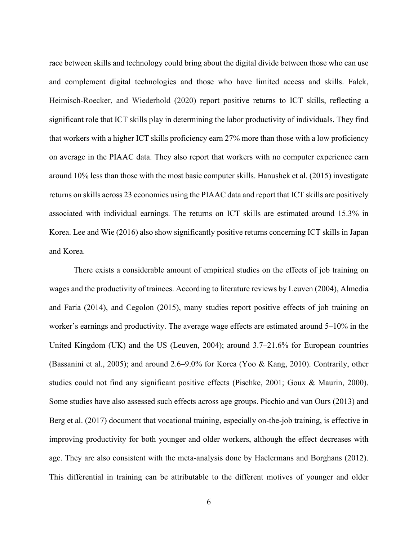race between skills and technology could bring about the digital divide between those who can use and complement digital technologies and those who have limited access and skills. Falck, Heimisch-Roecker, and Wiederhold (2020) report positive returns to ICT skills, reflecting a significant role that ICT skills play in determining the labor productivity of individuals. They find that workers with a higher ICT skills proficiency earn 27% more than those with a low proficiency on average in the PIAAC data. They also report that workers with no computer experience earn around 10% less than those with the most basic computer skills. Hanushek et al. (2015) investigate returns on skills across 23 economies using the PIAAC data and report that ICT skills are positively associated with individual earnings. The returns on ICT skills are estimated around 15.3% in Korea. Lee and Wie (2016) also show significantly positive returns concerning ICT skills in Japan and Korea.

There exists a considerable amount of empirical studies on the effects of job training on wages and the productivity of trainees. According to literature reviews by Leuven (2004), Almedia and Faria (2014), and Cegolon (2015), many studies report positive effects of job training on worker's earnings and productivity. The average wage effects are estimated around 5–10% in the United Kingdom (UK) and the US (Leuven, 2004); around 3.7–21.6% for European countries (Bassanini et al., 2005); and around 2.6–9.0% for Korea (Yoo & Kang, 2010). Contrarily, other studies could not find any significant positive effects (Pischke, 2001; Goux & Maurin, 2000). Some studies have also assessed such effects across age groups. Picchio and van Ours (2013) and Berg et al. (2017) document that vocational training, especially on-the-job training, is effective in improving productivity for both younger and older workers, although the effect decreases with age. They are also consistent with the meta-analysis done by Haelermans and Borghans (2012). This differential in training can be attributable to the different motives of younger and older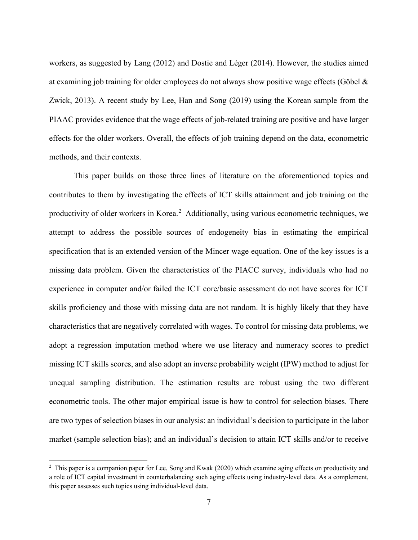workers, as suggested by Lang (2012) and Dostie and Léger (2014). However, the studies aimed at examining job training for older employees do not always show positive wage effects (Göbel & Zwick, 2013). A recent study by Lee, Han and Song (2019) using the Korean sample from the PIAAC provides evidence that the wage effects of job-related training are positive and have larger effects for the older workers. Overall, the effects of job training depend on the data, econometric methods, and their contexts.

This paper builds on those three lines of literature on the aforementioned topics and contributes to them by investigating the effects of ICT skills attainment and job training on the productivity of older workers in Korea.<sup>[2](#page-10-0)</sup> Additionally, using various econometric techniques, we attempt to address the possible sources of endogeneity bias in estimating the empirical specification that is an extended version of the Mincer wage equation. One of the key issues is a missing data problem. Given the characteristics of the PIACC survey, individuals who had no experience in computer and/or failed the ICT core/basic assessment do not have scores for ICT skills proficiency and those with missing data are not random. It is highly likely that they have characteristics that are negatively correlated with wages. To control for missing data problems, we adopt a regression imputation method where we use literacy and numeracy scores to predict missing ICT skills scores, and also adopt an inverse probability weight (IPW) method to adjust for unequal sampling distribution. The estimation results are robust using the two different econometric tools. The other major empirical issue is how to control for selection biases. There are two types of selection biases in our analysis: an individual's decision to participate in the labor market (sample selection bias); and an individual's decision to attain ICT skills and/or to receive

<span id="page-10-0"></span><sup>2</sup> This paper is a companion paper for Lee, Song and Kwak (2020) which examine aging effects on productivity and a role of ICT capital investment in counterbalancing such aging effects using industry-level data. As a complement, this paper assesses such topics using individual-level data.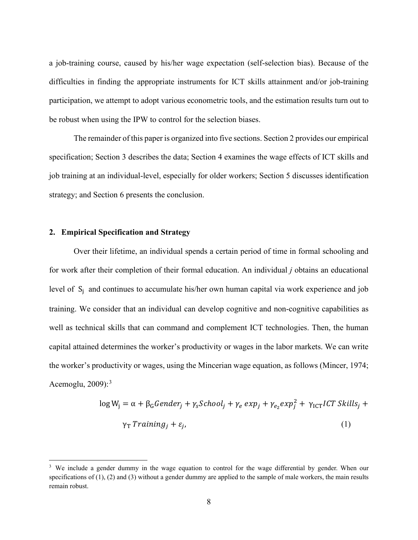a job-training course, caused by his/her wage expectation (self-selection bias). Because of the difficulties in finding the appropriate instruments for ICT skills attainment and/or job-training participation, we attempt to adopt various econometric tools, and the estimation results turn out to be robust when using the IPW to control for the selection biases.

The remainder of this paper is organized into five sections. Section 2 provides our empirical specification; Section 3 describes the data; Section 4 examines the wage effects of ICT skills and job training at an individual-level, especially for older workers; Section 5 discusses identification strategy; and Section 6 presents the conclusion.

#### **2. Empirical Specification and Strategy**

Over their lifetime, an individual spends a certain period of time in formal schooling and for work after their completion of their formal education. An individual *j* obtains an educational level of  $S_i$  and continues to accumulate his/her own human capital via work experience and job training. We consider that an individual can develop cognitive and non-cognitive capabilities as well as technical skills that can command and complement ICT technologies. Then, the human capital attained determines the worker's productivity or wages in the labor markets. We can write the worker's productivity or wages, using the Mincerian wage equation, as follows (Mincer, 1974; Acemoglu,  $2009$ ):<sup>[3](#page-11-0)</sup>

$$
\log W_{j} = \alpha + \beta_{G} \text{Gender}_{j} + \gamma_{S} \text{Stool}_{j} + \gamma_{e} \exp_{j} + \gamma_{e_{2}} \exp_{j}^{2} + \gamma_{\text{ICT}} \text{ICT} \text{ Skills}_{j} + \gamma_{\text{T}} \text{Training}_{j} + \varepsilon_{j},
$$
\n(1)

<span id="page-11-0"></span><sup>&</sup>lt;sup>3</sup> We include a gender dummy in the wage equation to control for the wage differential by gender. When our specifications of  $(1)$ ,  $(2)$  and  $(3)$  without a gender dummy are applied to the sample of male workers, the main results remain robust.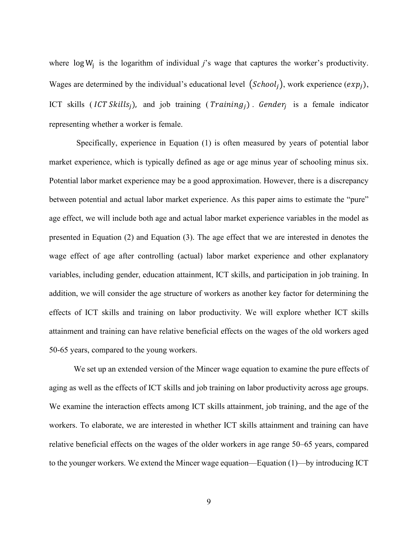where  $\log W_i$  is the logarithm of individual *j*'s wage that captures the worker's productivity. Wages are determined by the individual's educational level  $(School_i)$ , work experience  $(exp_i)$ , ICT skills (ICT Skills<sub>i</sub>), and job training (*Training<sub>i</sub>*). Gender<sub>i</sub> is a female indicator representing whether a worker is female.

Specifically, experience in Equation (1) is often measured by years of potential labor market experience, which is typically defined as age or age minus year of schooling minus six. Potential labor market experience may be a good approximation. However, there is a discrepancy between potential and actual labor market experience. As this paper aims to estimate the "pure" age effect, we will include both age and actual labor market experience variables in the model as presented in Equation (2) and Equation (3). The age effect that we are interested in denotes the wage effect of age after controlling (actual) labor market experience and other explanatory variables, including gender, education attainment, ICT skills, and participation in job training. In addition, we will consider the age structure of workers as another key factor for determining the effects of ICT skills and training on labor productivity. We will explore whether ICT skills attainment and training can have relative beneficial effects on the wages of the old workers aged 50-65 years, compared to the young workers.

We set up an extended version of the Mincer wage equation to examine the pure effects of aging as well as the effects of ICT skills and job training on labor productivity across age groups. We examine the interaction effects among ICT skills attainment, job training, and the age of the workers. To elaborate, we are interested in whether ICT skills attainment and training can have relative beneficial effects on the wages of the older workers in age range 50–65 years, compared to the younger workers. We extend the Mincer wage equation—Equation (1)—by introducing ICT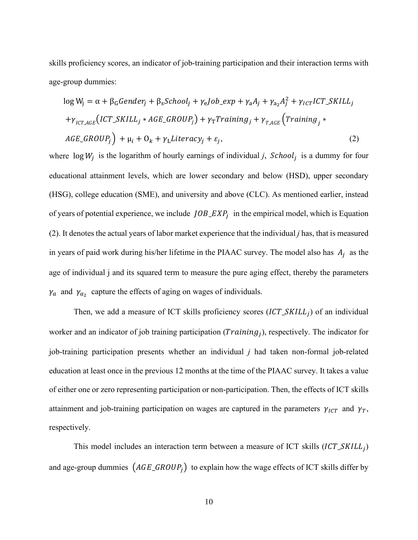skills proficiency scores, an indicator of job-training participation and their interaction terms with age-group dummies:

$$
log W_{j} = \alpha + \beta_{G} \text{Gender}_{j} + \beta_{S} \text{Stool}_{j} + \gamma_{e} \text{Job\_exp} + \gamma_{a} A_{j} + \gamma_{a_{2}} A_{j}^{2} + \gamma_{ICT} \text{ICT\_SKILL}_{j}
$$

$$
+ \gamma_{ICT,AGE} \left( \text{ICT\_SKILL}_{j} * \text{AGE\_GROUP}_{j} \right) + \gamma_{T} \text{Training}_{j} + \gamma_{T,AGE} \left( \text{Training}_{j} * \text{AGE\_GROUP}_{j} \right) + \mu_{i} + \mathcal{O}_{k} + \gamma_{L} \text{literacy}_{j} + \varepsilon_{j}, \tag{2}
$$

where  $\log W_i$  is the logarithm of hourly earnings of individual *j*, *School<sub>i</sub>* is a dummy for four educational attainment levels, which are lower secondary and below (HSD), upper secondary (HSG), college education (SME), and university and above (CLC). As mentioned earlier, instead of years of potential experience, we include  $JOB\_EXP_i$  in the empirical model, which is Equation (2). It denotes the actual years of labor market experience that the individual *j* has, that is measured in years of paid work during his/her lifetime in the PIAAC survey. The model also has  $A_j$  as the age of individual j and its squared term to measure the pure aging effect, thereby the parameters  $\gamma_a$  and  $\gamma_{a_2}$  capture the effects of aging on wages of individuals.

Then, we add a measure of ICT skills proficiency scores  $(ICT\_SKILL_i)$  of an individual worker and an indicator of job training participation ( $Training<sub>i</sub>$ ), respectively. The indicator for job-training participation presents whether an individual *j* had taken non-formal job-related education at least once in the previous 12 months at the time of the PIAAC survey. It takes a value of either one or zero representing participation or non-participation. Then, the effects of ICT skills attainment and job-training participation on wages are captured in the parameters  $\gamma_{ICT}$  and  $\gamma_T$ , respectively.

This model includes an interaction term between a measure of ICT skills  $(ICT\_SKILL_i)$ and age-group dummies  $(AGE\_GROUR_j)$  to explain how the wage effects of ICT skills differ by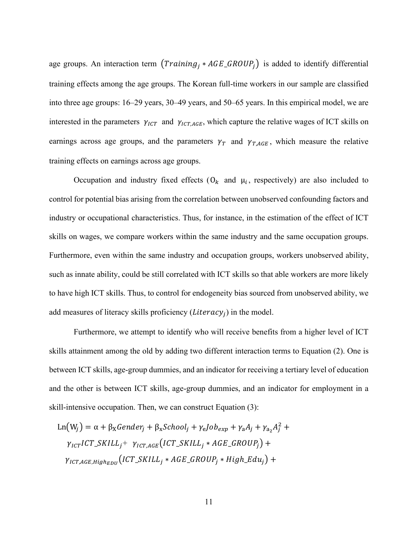age groups. An interaction term  $(Training_i *AGE\_GROUP_i)$  is added to identify differential training effects among the age groups. The Korean full-time workers in our sample are classified into three age groups: 16–29 years, 30–49 years, and 50–65 years. In this empirical model, we are interested in the parameters  $\gamma_{ICT}$  and  $\gamma_{ICT,AGE}$ , which capture the relative wages of ICT skills on earnings across age groups, and the parameters  $\gamma_T$  and  $\gamma_{T,AGE}$ , which measure the relative training effects on earnings across age groups.

Occupation and industry fixed effects  $(O_k \text{ and } \mu_i)$ , respectively) are also included to control for potential bias arising from the correlation between unobserved confounding factors and industry or occupational characteristics. Thus, for instance, in the estimation of the effect of ICT skills on wages, we compare workers within the same industry and the same occupation groups. Furthermore, even within the same industry and occupation groups, workers unobserved ability, such as innate ability, could be still correlated with ICT skills so that able workers are more likely to have high ICT skills. Thus, to control for endogeneity bias sourced from unobserved ability, we add measures of literacy skills proficiency (*Literacy<sub>i</sub>*) in the model.

Furthermore, we attempt to identify who will receive benefits from a higher level of ICT skills attainment among the old by adding two different interaction terms to Equation (2). One is between ICT skills, age-group dummies, and an indicator for receiving a tertiary level of education and the other is between ICT skills, age-group dummies, and an indicator for employment in a skill-intensive occupation. Then, we can construct Equation (3):

$$
Ln(W_j) = \alpha + \beta_X Gender_j + \beta_X School_j + \gamma_e Job_{exp} + \gamma_a A_j + \gamma_{a_2} A_j^2 +
$$
  

$$
\gamma_{ICT} ICT\_SKILL_j + \gamma_{ICTAGE}(ICT\_SKILL_j *AGE\_GROUP_j) +
$$
  

$$
\gamma_{ICT,AGE, High_{EDU}}(ICT\_SKILL_j *AGE\_GROUP_j * High\_Edu_j) +
$$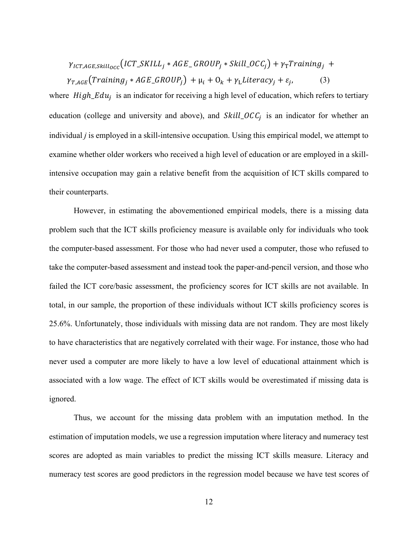$$
\gamma_{ICT,AGE, skill_{OCC}}(ICT\_SKILL_j *AGE\_GROUP_j * Skill\_OCC_j) + \gamma_T Training_j + \gamma_{T,AGE}(Training_j *AGE\_GROUP_j) + \mu_i + O_k + \gamma_L Literatureity + \varepsilon_j,
$$
\n(3)

where  $High\_Edu_i$  is an indicator for receiving a high level of education, which refers to tertiary education (college and university and above), and  $Skill\_OCC<sub>i</sub>$  is an indicator for whether an individual *j* is employed in a skill-intensive occupation. Using this empirical model, we attempt to examine whether older workers who received a high level of education or are employed in a skillintensive occupation may gain a relative benefit from the acquisition of ICT skills compared to their counterparts.

However, in estimating the abovementioned empirical models, there is a missing data problem such that the ICT skills proficiency measure is available only for individuals who took the computer-based assessment. For those who had never used a computer, those who refused to take the computer-based assessment and instead took the paper-and-pencil version, and those who failed the ICT core/basic assessment, the proficiency scores for ICT skills are not available. In total, in our sample, the proportion of these individuals without ICT skills proficiency scores is 25.6%. Unfortunately, those individuals with missing data are not random. They are most likely to have characteristics that are negatively correlated with their wage. For instance, those who had never used a computer are more likely to have a low level of educational attainment which is associated with a low wage. The effect of ICT skills would be overestimated if missing data is ignored.

Thus, we account for the missing data problem with an imputation method. In the estimation of imputation models, we use a regression imputation where literacy and numeracy test scores are adopted as main variables to predict the missing ICT skills measure. Literacy and numeracy test scores are good predictors in the regression model because we have test scores of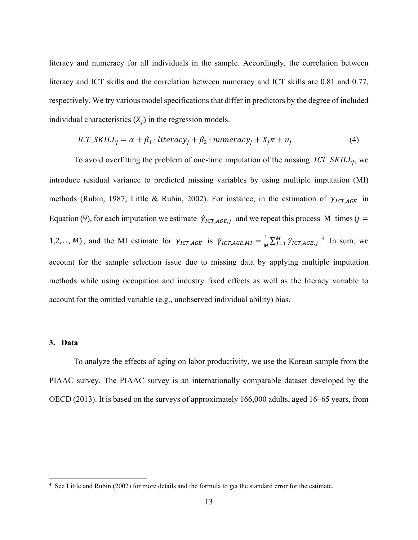literacy and numeracy for all individuals in the sample. Accordingly, the correlation between literacy and ICT skills and the correlation between numeracy and ICT skills are 0.81 and 0.77, respectively. We try various model specifications that differ in predictors by the degree of included individual characteristics  $(X_i)$  in the regression models.

$$
ICT\_SKILL_j = \alpha + \beta_1 \cdot literacy_j + \beta_2 \cdot numeracy_j + X_j \pi + u_j \tag{4}
$$

To avoid overfitting the problem of one-time imputation of the missing  $ICT\_SKILL_j$ , we introduce residual variance to predicted missing variables by using multiple imputation (MI) methods (Rubin, 1987; Little & Rubin, 2002). For instance, in the estimation of  $\gamma_{ICT,AGE}$  in Equation (9), for each imputation we estimate  $\hat{\gamma}_{ICT,AGE,j}$  and we repeat this process M times (j = 1,2,.., *M*), and the MI estimate for  $\gamma_{ICT,AGE}$  is  $\hat{\gamma}_{ICT,AGE, MI} = \frac{1}{M} \sum_{j=1}^{M} \hat{\gamma}_{ICT,AGE, j}$ .<sup>[4](#page-16-0)</sup> In sum, we account for the sample selection issue due to missing data by applying multiple imputation methods while using occupation and industry fixed effects as well as the literacy variable to account for the omitted variable (e.g., unobserved individual ability) bias.

#### **3. Data**

To analyze the effects of aging on labor productivity, we use the Korean sample from the PIAAC survey. The PIAAC survey is an internationally comparable dataset developed by the OECD (2013). It is based on the surveys of approximately 166,000 adults, aged 16–65 years, from

<span id="page-16-0"></span><sup>4</sup> See Little and Rubin (2002) for more details and the formula to get the standard error for the estimate.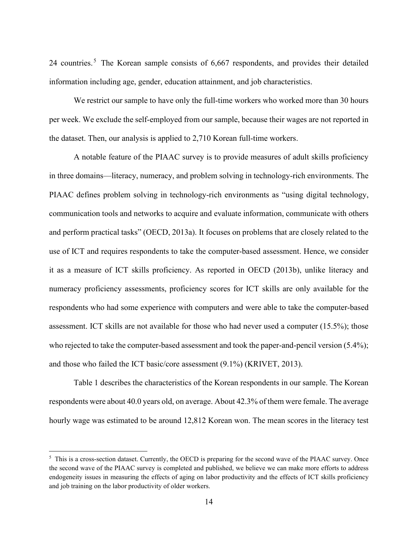24 countries.<sup>[5](#page-17-0)</sup> The Korean sample consists of 6,667 respondents, and provides their detailed information including age, gender, education attainment, and job characteristics.

We restrict our sample to have only the full-time workers who worked more than 30 hours per week. We exclude the self-employed from our sample, because their wages are not reported in the dataset. Then, our analysis is applied to 2,710 Korean full-time workers.

A notable feature of the PIAAC survey is to provide measures of adult skills proficiency in three domains—literacy, numeracy, and problem solving in technology-rich environments. The PIAAC defines problem solving in technology-rich environments as "using digital technology, communication tools and networks to acquire and evaluate information, communicate with others and perform practical tasks" (OECD, 2013a). It focuses on problems that are closely related to the use of ICT and requires respondents to take the computer-based assessment. Hence, we consider it as a measure of ICT skills proficiency. As reported in OECD (2013b), unlike literacy and numeracy proficiency assessments, proficiency scores for ICT skills are only available for the respondents who had some experience with computers and were able to take the computer-based assessment. ICT skills are not available for those who had never used a computer (15.5%); those who rejected to take the computer-based assessment and took the paper-and-pencil version (5.4%); and those who failed the ICT basic/core assessment (9.1%) (KRIVET, 2013).

Table 1 describes the characteristics of the Korean respondents in our sample. The Korean respondents were about 40.0 years old, on average. About 42.3% of them were female. The average hourly wage was estimated to be around 12,812 Korean won. The mean scores in the literacy test

<span id="page-17-0"></span><sup>&</sup>lt;sup>5</sup> This is a cross-section dataset. Currently, the OECD is preparing for the second wave of the PIAAC survey. Once the second wave of the PIAAC survey is completed and published, we believe we can make more efforts to address endogeneity issues in measuring the effects of aging on labor productivity and the effects of ICT skills proficiency and job training on the labor productivity of older workers.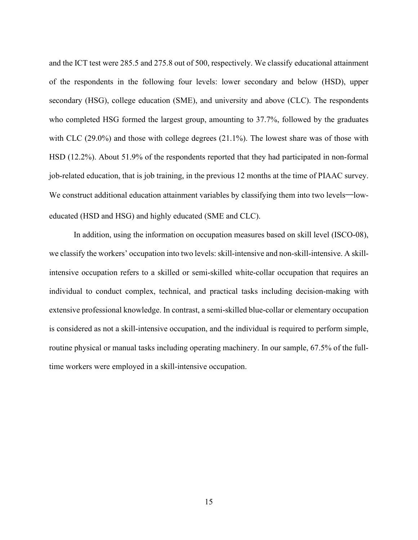and the ICT test were 285.5 and 275.8 out of 500, respectively. We classify educational attainment of the respondents in the following four levels: lower secondary and below (HSD), upper secondary (HSG), college education (SME), and university and above (CLC). The respondents who completed HSG formed the largest group, amounting to 37.7%, followed by the graduates with CLC (29.0%) and those with college degrees (21.1%). The lowest share was of those with HSD (12.2%). About 51.9% of the respondents reported that they had participated in non-formal job-related education, that is job training, in the previous 12 months at the time of PIAAC survey. We construct additional education attainment variables by classifying them into two levels—loweducated (HSD and HSG) and highly educated (SME and CLC).

In addition, using the information on occupation measures based on skill level (ISCO-08), we classify the workers' occupation into two levels: skill-intensive and non-skill-intensive. A skillintensive occupation refers to a skilled or semi-skilled white-collar occupation that requires an individual to conduct complex, technical, and practical tasks including decision-making with extensive professional knowledge. In contrast, a semi-skilled blue-collar or elementary occupation is considered as not a skill-intensive occupation, and the individual is required to perform simple, routine physical or manual tasks including operating machinery. In our sample, 67.5% of the fulltime workers were employed in a skill-intensive occupation.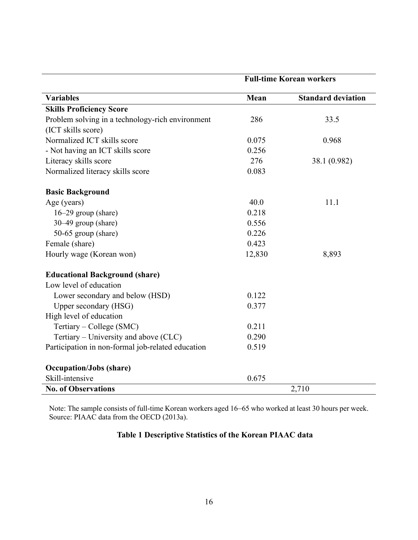|                                                   | <b>Full-time Korean workers</b> |                           |  |
|---------------------------------------------------|---------------------------------|---------------------------|--|
| <b>Variables</b>                                  | Mean                            | <b>Standard deviation</b> |  |
| <b>Skills Proficiency Score</b>                   |                                 |                           |  |
| Problem solving in a technology-rich environment  | 286                             | 33.5                      |  |
| (ICT skills score)                                |                                 |                           |  |
| Normalized ICT skills score                       | 0.075                           | 0.968                     |  |
| - Not having an ICT skills score                  | 0.256                           |                           |  |
| Literacy skills score                             | 276                             | 38.1 (0.982)              |  |
| Normalized literacy skills score                  | 0.083                           |                           |  |
| <b>Basic Background</b>                           |                                 |                           |  |
| Age (years)                                       | 40.0                            | 11.1                      |  |
| $16-29$ group (share)                             | 0.218                           |                           |  |
| 30–49 group (share)                               | 0.556                           |                           |  |
| 50-65 group (share)                               | 0.226                           |                           |  |
| Female (share)                                    | 0.423                           |                           |  |
| Hourly wage (Korean won)                          | 12,830                          | 8,893                     |  |
| <b>Educational Background (share)</b>             |                                 |                           |  |
| Low level of education                            |                                 |                           |  |
| Lower secondary and below (HSD)                   | 0.122                           |                           |  |
| Upper secondary (HSG)                             | 0.377                           |                           |  |
| High level of education                           |                                 |                           |  |
| Tertiary - College (SMC)                          | 0.211                           |                           |  |
| Tertiary - University and above (CLC)             | 0.290                           |                           |  |
| Participation in non-formal job-related education | 0.519                           |                           |  |
| <b>Occupation/Jobs (share)</b>                    |                                 |                           |  |
| Skill-intensive                                   | 0.675                           |                           |  |
| <b>No. of Observations</b>                        |                                 | 2,710                     |  |

Note: The sample consists of full-time Korean workers aged 16–65 who worked at least 30 hours per week. Source: PIAAC data from the OECD (2013a).

## **Table 1 Descriptive Statistics of the Korean PIAAC data**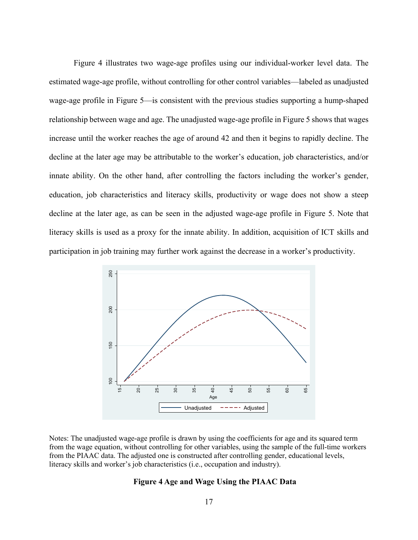Figure 4 illustrates two wage-age profiles using our individual-worker level data. The estimated wage-age profile, without controlling for other control variables—labeled as unadjusted wage-age profile in Figure 5—is consistent with the previous studies supporting a hump-shaped relationship between wage and age. The unadjusted wage-age profile in Figure 5 shows that wages increase until the worker reaches the age of around 42 and then it begins to rapidly decline. The decline at the later age may be attributable to the worker's education, job characteristics, and/or innate ability. On the other hand, after controlling the factors including the worker's gender, education, job characteristics and literacy skills, productivity or wage does not show a steep decline at the later age, as can be seen in the adjusted wage-age profile in Figure 5. Note that literacy skills is used as a proxy for the innate ability. In addition, acquisition of ICT skills and participation in job training may further work against the decrease in a worker's productivity.



Notes: The unadjusted wage-age profile is drawn by using the coefficients for age and its squared term from the wage equation, without controlling for other variables, using the sample of the full-time workers from the PIAAC data. The adjusted one is constructed after controlling gender, educational levels, literacy skills and worker's job characteristics (i.e., occupation and industry).

#### **Figure 4 Age and Wage Using the PIAAC Data**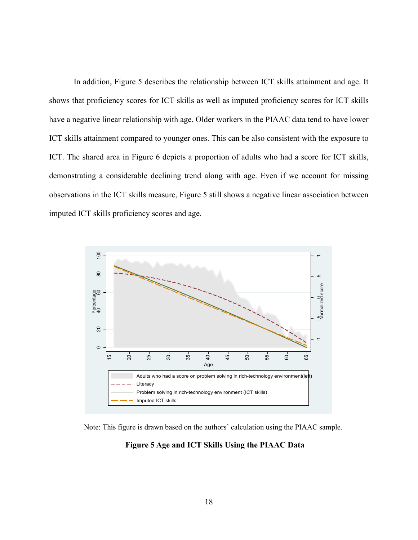In addition, Figure 5 describes the relationship between ICT skills attainment and age. It shows that proficiency scores for ICT skills as well as imputed proficiency scores for ICT skills have a negative linear relationship with age. Older workers in the PIAAC data tend to have lower ICT skills attainment compared to younger ones. This can be also consistent with the exposure to ICT. The shared area in Figure 6 depicts a proportion of adults who had a score for ICT skills, demonstrating a considerable declining trend along with age. Even if we account for missing observations in the ICT skills measure, Figure 5 still shows a negative linear association between imputed ICT skills proficiency scores and age.



Note: This figure is drawn based on the authors' calculation using the PIAAC sample.

**Figure 5 Age and ICT Skills Using the PIAAC Data**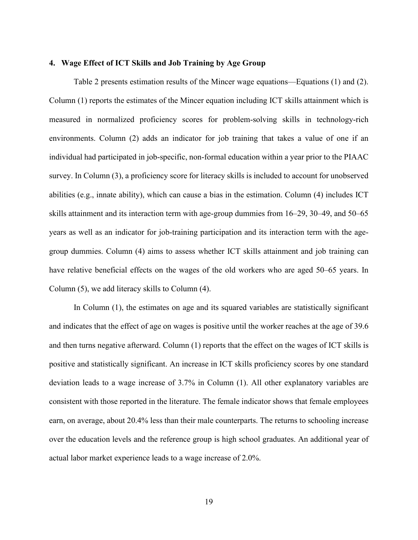#### **4. Wage Effect of ICT Skills and Job Training by Age Group**

Table 2 presents estimation results of the Mincer wage equations—Equations (1) and (2). Column (1) reports the estimates of the Mincer equation including ICT skills attainment which is measured in normalized proficiency scores for problem-solving skills in technology-rich environments. Column (2) adds an indicator for job training that takes a value of one if an individual had participated in job-specific, non-formal education within a year prior to the PIAAC survey. In Column (3), a proficiency score for literacy skills is included to account for unobserved abilities (e.g., innate ability), which can cause a bias in the estimation. Column (4) includes ICT skills attainment and its interaction term with age-group dummies from 16–29, 30–49, and 50–65 years as well as an indicator for job-training participation and its interaction term with the agegroup dummies. Column (4) aims to assess whether ICT skills attainment and job training can have relative beneficial effects on the wages of the old workers who are aged 50–65 years. In Column (5), we add literacy skills to Column (4).

In Column (1), the estimates on age and its squared variables are statistically significant and indicates that the effect of age on wages is positive until the worker reaches at the age of 39.6 and then turns negative afterward. Column (1) reports that the effect on the wages of ICT skills is positive and statistically significant. An increase in ICT skills proficiency scores by one standard deviation leads to a wage increase of 3.7% in Column (1). All other explanatory variables are consistent with those reported in the literature. The female indicator shows that female employees earn, on average, about 20.4% less than their male counterparts. The returns to schooling increase over the education levels and the reference group is high school graduates. An additional year of actual labor market experience leads to a wage increase of 2.0%.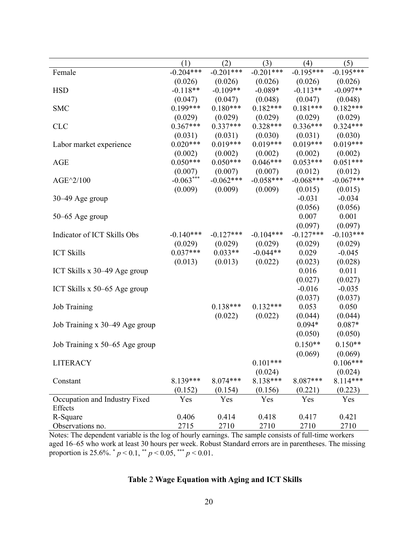|                                | (1)         | (2)         | (3)         | (4)         | (5)         |
|--------------------------------|-------------|-------------|-------------|-------------|-------------|
| Female                         | $-0.204***$ | $-0.201***$ | $-0.201***$ | $-0.195***$ | $-0.195***$ |
|                                | (0.026)     | (0.026)     | (0.026)     | (0.026)     | (0.026)     |
| <b>HSD</b>                     | $-0.118**$  | $-0.109**$  | $-0.089*$   | $-0.113**$  | $-0.097**$  |
|                                | (0.047)     | (0.047)     | (0.048)     | (0.047)     | (0.048)     |
| <b>SMC</b>                     | $0.199***$  | $0.180***$  | $0.182***$  | $0.181***$  | $0.182***$  |
|                                | (0.029)     | (0.029)     | (0.029)     | (0.029)     | (0.029)     |
| <b>CLC</b>                     | $0.367***$  | $0.337***$  | $0.328***$  | $0.336***$  | $0.324***$  |
|                                | (0.031)     | (0.031)     | (0.030)     | (0.031)     | (0.030)     |
| Labor market experience        | $0.020***$  | $0.019***$  | $0.019***$  | $0.019***$  | $0.019***$  |
|                                | (0.002)     | (0.002)     | (0.002)     | (0.002)     | (0.002)     |
| <b>AGE</b>                     | $0.050***$  | $0.050***$  | $0.046***$  | $0.053***$  | $0.051***$  |
|                                | (0.007)     | (0.007)     | (0.007)     | (0.012)     | (0.012)     |
| AGE^2/100                      | $-0.063***$ | $-0.062***$ | $-0.058***$ | $-0.068***$ | $-0.067***$ |
|                                | (0.009)     | (0.009)     | (0.009)     | (0.015)     | (0.015)     |
| $30-49$ Age group              |             |             |             | $-0.031$    | $-0.034$    |
|                                |             |             |             | (0.056)     | (0.056)     |
| $50-65$ Age group              |             |             |             | 0.007       | 0.001       |
|                                |             |             |             | (0.097)     | (0.097)     |
| Indicator of ICT Skills Obs    | $-0.140***$ | $-0.127***$ | $-0.104***$ | $-0.127***$ | $-0.103***$ |
|                                | (0.029)     | (0.029)     | (0.029)     | (0.029)     | (0.029)     |
| <b>ICT Skills</b>              | $0.037***$  | $0.033**$   | $-0.044**$  | 0.029       | $-0.045$    |
|                                | (0.013)     | (0.013)     | (0.022)     | (0.023)     | (0.028)     |
| ICT Skills $x$ 30–49 Age group |             |             |             | 0.016       | 0.011       |
|                                |             |             |             | (0.027)     | (0.027)     |
| ICT Skills x 50–65 Age group   |             |             |             | $-0.016$    | $-0.035$    |
|                                |             |             |             | (0.037)     | (0.037)     |
| Job Training                   |             | $0.138***$  | $0.132***$  | 0.053       | 0.050       |
|                                |             | (0.022)     | (0.022)     | (0.044)     | (0.044)     |
| Job Training x 30–49 Age group |             |             |             | $0.094*$    | $0.087*$    |
|                                |             |             |             | (0.050)     | (0.050)     |
| Job Training x 50–65 Age group |             |             |             | $0.150**$   | $0.150**$   |
|                                |             |             |             | (0.069)     | (0.069)     |
| <b>LITERACY</b>                |             |             | $0.101***$  |             | $0.106***$  |
|                                |             |             | (0.024)     |             | (0.024)     |
| Constant                       | 8.139***    | $8.074***$  | $8.138***$  | 8.087***    | 8.114***    |
|                                | (0.152)     | (0.154)     | (0.156)     | (0.221)     | (0.223)     |
| Occupation and Industry Fixed  | Yes         | Yes         | Yes         | Yes         | Yes         |
| Effects                        |             |             |             |             |             |
| R-Square                       | 0.406       | 0.414       | 0.418       | 0.417       | 0.421       |
| Observations no.               | 2715        | 2710        | 2710        | 2710        | 2710        |

Notes: The dependent variable is the log of hourly earnings. The sample consists of full-time workers aged 16–65 who work at least 30 hours per week. Robust Standard errors are in parentheses. The missing proportion is 25.6%. \* *p* < 0.1, \*\* *p* < 0.05, \*\*\* *p* < 0.01.

## **Table** 2 **Wage Equation with Aging and ICT Skills**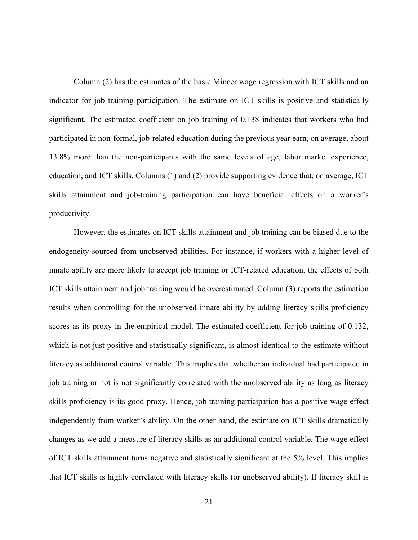Column (2) has the estimates of the basic Mincer wage regression with ICT skills and an indicator for job training participation. The estimate on ICT skills is positive and statistically significant. The estimated coefficient on job training of 0.138 indicates that workers who had participated in non-formal, job-related education during the previous year earn, on average, about 13.8% more than the non-participants with the same levels of age, labor market experience, education, and ICT skills. Columns (1) and (2) provide supporting evidence that, on average, ICT skills attainment and job-training participation can have beneficial effects on a worker's productivity.

However, the estimates on ICT skills attainment and job training can be biased due to the endogeneity sourced from unobserved abilities. For instance, if workers with a higher level of innate ability are more likely to accept job training or ICT-related education, the effects of both ICT skills attainment and job training would be overestimated. Column (3) reports the estimation results when controlling for the unobserved innate ability by adding literacy skills proficiency scores as its proxy in the empirical model. The estimated coefficient for job training of 0.132, which is not just positive and statistically significant, is almost identical to the estimate without literacy as additional control variable. This implies that whether an individual had participated in job training or not is not significantly correlated with the unobserved ability as long as literacy skills proficiency is its good proxy. Hence, job training participation has a positive wage effect independently from worker's ability. On the other hand, the estimate on ICT skills dramatically changes as we add a measure of literacy skills as an additional control variable. The wage effect of ICT skills attainment turns negative and statistically significant at the 5% level. This implies that ICT skills is highly correlated with literacy skills (or unobserved ability). If literacy skill is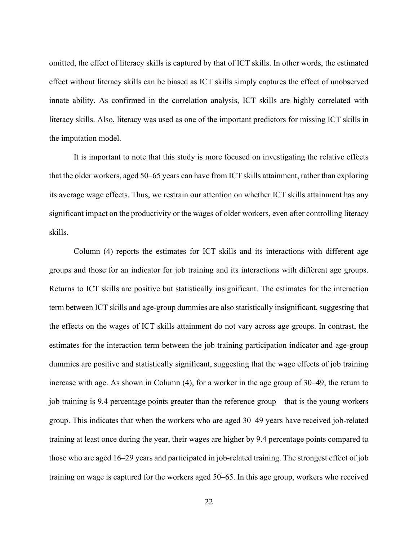omitted, the effect of literacy skills is captured by that of ICT skills. In other words, the estimated effect without literacy skills can be biased as ICT skills simply captures the effect of unobserved innate ability. As confirmed in the correlation analysis, ICT skills are highly correlated with literacy skills. Also, literacy was used as one of the important predictors for missing ICT skills in the imputation model.

It is important to note that this study is more focused on investigating the relative effects that the older workers, aged 50–65 years can have from ICT skills attainment, rather than exploring its average wage effects. Thus, we restrain our attention on whether ICT skills attainment has any significant impact on the productivity or the wages of older workers, even after controlling literacy skills.

Column (4) reports the estimates for ICT skills and its interactions with different age groups and those for an indicator for job training and its interactions with different age groups. Returns to ICT skills are positive but statistically insignificant. The estimates for the interaction term between ICT skills and age-group dummies are also statistically insignificant, suggesting that the effects on the wages of ICT skills attainment do not vary across age groups. In contrast, the estimates for the interaction term between the job training participation indicator and age-group dummies are positive and statistically significant, suggesting that the wage effects of job training increase with age. As shown in Column (4), for a worker in the age group of 30–49, the return to job training is 9.4 percentage points greater than the reference group—that is the young workers group. This indicates that when the workers who are aged 30–49 years have received job-related training at least once during the year, their wages are higher by 9.4 percentage points compared to those who are aged 16–29 years and participated in job-related training. The strongest effect of job training on wage is captured for the workers aged 50–65. In this age group, workers who received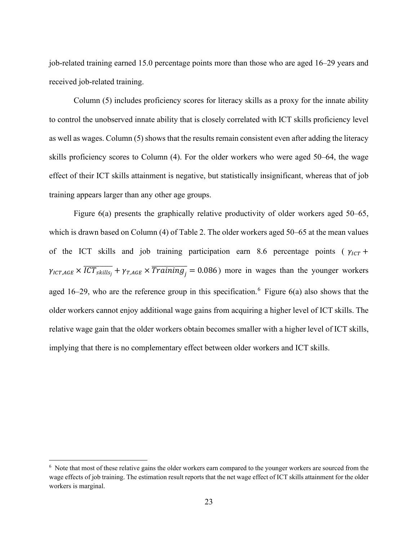job-related training earned 15.0 percentage points more than those who are aged 16–29 years and received job-related training.

Column (5) includes proficiency scores for literacy skills as a proxy for the innate ability to control the unobserved innate ability that is closely correlated with ICT skills proficiency level as well as wages. Column (5) shows that the results remain consistent even after adding the literacy skills proficiency scores to Column (4). For the older workers who were aged 50–64, the wage effect of their ICT skills attainment is negative, but statistically insignificant, whereas that of job training appears larger than any other age groups.

Figure 6(a) presents the graphically relative productivity of older workers aged 50–65, which is drawn based on Column (4) of Table 2. The older workers aged 50–65 at the mean values of the ICT skills and job training participation earn 8.6 percentage points ( $\gamma_{1CT}$  +  $\gamma_{ICT,AGE} \times \overline{ICT_{skills_i}} + \gamma_{T,AGE} \times \overline{Training_i} = 0.086$ ) more in wages than the younger workers aged 1[6](#page-27-0)–29, who are the reference group in this specification.<sup>6</sup> Figure  $6(a)$  also shows that the older workers cannot enjoy additional wage gains from acquiring a higher level of ICT skills. The relative wage gain that the older workers obtain becomes smaller with a higher level of ICT skills, implying that there is no complementary effect between older workers and ICT skills.

<sup>&</sup>lt;sup>6</sup> Note that most of these relative gains the older workers earn compared to the younger workers are sourced from the wage effects of job training. The estimation result reports that the net wage effect of ICT skills attainment for the older workers is marginal.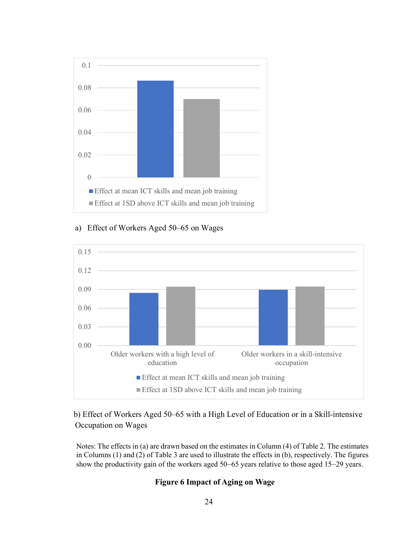





## b) Effect of Workers Aged 50–65 with a High Level of Education or in a Skill-intensive Occupation on Wages

<span id="page-27-0"></span>Notes: The effects in (a) are drawn based on the estimates in Column (4) of Table 2. The estimates in Columns (1) and (2) of Table 3 are used to illustrate the effects in (b), respectively. The figures show the productivity gain of the workers aged 50–65 years relative to those aged 15–29 years.

## **Figure 6 Impact of Aging on Wage**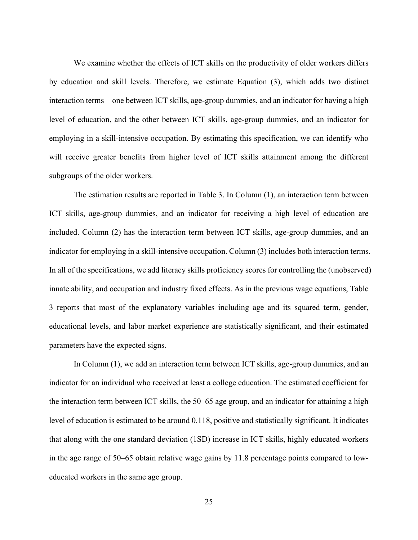We examine whether the effects of ICT skills on the productivity of older workers differs by education and skill levels. Therefore, we estimate Equation (3), which adds two distinct interaction terms—one between ICT skills, age-group dummies, and an indicator for having a high level of education, and the other between ICT skills, age-group dummies, and an indicator for employing in a skill-intensive occupation. By estimating this specification, we can identify who will receive greater benefits from higher level of ICT skills attainment among the different subgroups of the older workers.

The estimation results are reported in Table 3. In Column (1), an interaction term between ICT skills, age-group dummies, and an indicator for receiving a high level of education are included. Column (2) has the interaction term between ICT skills, age-group dummies, and an indicator for employing in a skill-intensive occupation. Column (3) includes both interaction terms. In all of the specifications, we add literacy skills proficiency scores for controlling the (unobserved) innate ability, and occupation and industry fixed effects. As in the previous wage equations, Table 3 reports that most of the explanatory variables including age and its squared term, gender, educational levels, and labor market experience are statistically significant, and their estimated parameters have the expected signs.

In Column (1), we add an interaction term between ICT skills, age-group dummies, and an indicator for an individual who received at least a college education. The estimated coefficient for the interaction term between ICT skills, the 50–65 age group, and an indicator for attaining a high level of education is estimated to be around 0.118, positive and statistically significant. It indicates that along with the one standard deviation (1SD) increase in ICT skills, highly educated workers in the age range of 50–65 obtain relative wage gains by 11.8 percentage points compared to loweducated workers in the same age group.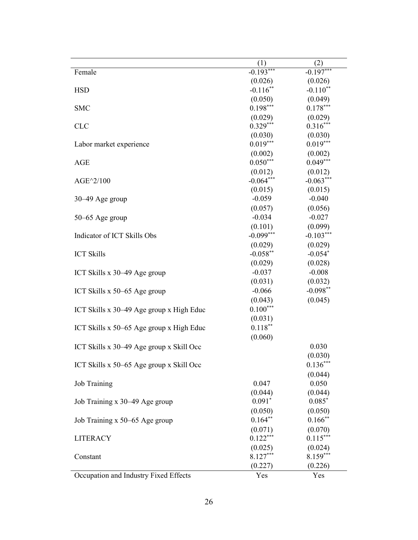|                                          | (1)         | (2)         |
|------------------------------------------|-------------|-------------|
| Female                                   | $-0.193***$ | $-0.197***$ |
|                                          | (0.026)     | (0.026)     |
| <b>HSD</b>                               | $-0.116$ ** | $-0.110**$  |
|                                          | (0.050)     | (0.049)     |
| <b>SMC</b>                               | $0.198***$  | $0.178***$  |
|                                          | (0.029)     | (0.029)     |
| <b>CLC</b>                               | $0.329***$  | $0.316***$  |
|                                          | (0.030)     | (0.030)     |
| Labor market experience                  | $0.019***$  | $0.019***$  |
|                                          | (0.002)     | (0.002)     |
| AGE                                      | $0.050***$  | $0.049***$  |
|                                          | (0.012)     | (0.012)     |
| $AGE^2/100$                              | $-0.064***$ | $-0.063***$ |
|                                          | (0.015)     | (0.015)     |
| 30–49 Age group                          | $-0.059$    | $-0.040$    |
|                                          | (0.057)     | (0.056)     |
| 50–65 Age group                          | $-0.034$    | $-0.027$    |
|                                          | (0.101)     | (0.099)     |
| Indicator of ICT Skills Obs              | $-0.099***$ | $-0.103***$ |
|                                          | (0.029)     | (0.029)     |
| <b>ICT Skills</b>                        | $-0.058**$  | $-0.054*$   |
|                                          | (0.029)     | (0.028)     |
| ICT Skills x 30–49 Age group             | $-0.037$    | $-0.008$    |
|                                          | (0.031)     | (0.032)     |
| ICT Skills x 50-65 Age group             | $-0.066$    | $-0.098**$  |
|                                          | (0.043)     | (0.045)     |
| ICT Skills x 30–49 Age group x High Educ | $0.100***$  |             |
|                                          | (0.031)     |             |
| ICT Skills x 50–65 Age group x High Educ | $0.118***$  |             |
|                                          | (0.060)     |             |
| ICT Skills x 30–49 Age group x Skill Occ |             | 0.030       |
|                                          |             | (0.030)     |
| ICT Skills x 50–65 Age group x Skill Occ |             | $0.136***$  |
|                                          |             | (0.044)     |
| <b>Job Training</b>                      | 0.047       | 0.050       |
|                                          | (0.044)     | (0.044)     |
| Job Training x 30–49 Age group           | $0.091*$    | $0.085*$    |
|                                          | (0.050)     | (0.050)     |
| Job Training x 50–65 Age group           | $0.164***$  | $0.166$ **  |
|                                          | (0.071)     | (0.070)     |
| <b>LITERACY</b>                          | $0.122***$  | $0.115***$  |
|                                          | (0.025)     | (0.024)     |
| Constant                                 | $8.127***$  | $8.159***$  |
|                                          | (0.227)     | (0.226)     |
| Occupation and Industry Fixed Effects    | Yes         | Yes         |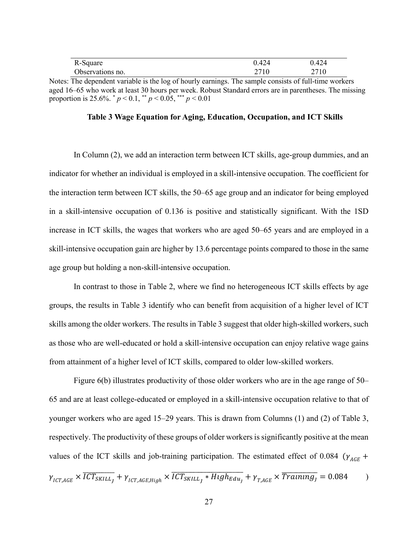| R-Square         | 0.424 | 0.424 |
|------------------|-------|-------|
| Observations no. |       | 2710  |

Notes: The dependent variable is the log of hourly earnings. The sample consists of full-time workers aged 16–65 who work at least 30 hours per week. Robust Standard errors are in parentheses. The missing proportion is 25.6%.  $p < 0.1$ ,  $p < 0.05$ ,  $p < 0.01$ 

#### **Table 3 Wage Equation for Aging, Education, Occupation, and ICT Skills**

In Column (2), we add an interaction term between ICT skills, age-group dummies, and an indicator for whether an individual is employed in a skill-intensive occupation. The coefficient for the interaction term between ICT skills, the 50–65 age group and an indicator for being employed in a skill-intensive occupation of 0.136 is positive and statistically significant. With the 1SD increase in ICT skills, the wages that workers who are aged 50–65 years and are employed in a skill-intensive occupation gain are higher by 13.6 percentage points compared to those in the same age group but holding a non-skill-intensive occupation.

In contrast to those in Table 2, where we find no heterogeneous ICT skills effects by age groups, the results in Table 3 identify who can benefit from acquisition of a higher level of ICT skills among the older workers. The results in Table 3 suggest that older high-skilled workers, such as those who are well-educated or hold a skill-intensive occupation can enjoy relative wage gains from attainment of a higher level of ICT skills, compared to older low-skilled workers.

Figure 6(b) illustrates productivity of those older workers who are in the age range of 50– 65 and are at least college-educated or employed in a skill-intensive occupation relative to that of younger workers who are aged 15–29 years. This is drawn from Columns (1) and (2) of Table 3, respectively. The productivity of these groups of older workers is significantly positive at the mean values of the ICT skills and job-training participation. The estimated effect of 0.084 ( $\gamma_{AGE}$  +  $\gamma_{ICTAGE} \times \overline{ICT}_{SKILL_J} + \gamma_{ICTAGE, High} \times \overline{ICT}_{SKILL_J} * High_{Edu_j} + \gamma_{T,AGE} \times \overline{Trainung_j} = 0.084$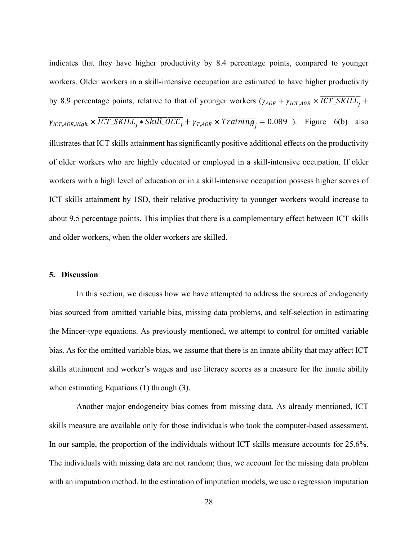indicates that they have higher productivity by 8.4 percentage points, compared to younger workers. Older workers in a skill-intensive occupation are estimated to have higher productivity by 8.9 percentage points, relative to that of younger workers  $(\gamma_{AGE} + \gamma_{ICT,AGE} \times \overline{ICT\_SKILL_j} +$  $\gamma_{ICT,AGE, High} \times \overline{ICT\_SKILL_j * Skill\_OCC_j} + \gamma_{T,AGE} \times \overline{Training_j} = 0.089$ ). Figure 6(b) also illustrates that ICT skills attainment has significantly positive additional effects on the productivity of older workers who are highly educated or employed in a skill-intensive occupation. If older workers with a high level of education or in a skill-intensive occupation possess higher scores of ICT skills attainment by 1SD, their relative productivity to younger workers would increase to about 9.5 percentage points. This implies that there is a complementary effect between ICT skills and older workers, when the older workers are skilled.

#### **5. Discussion**

In this section, we discuss how we have attempted to address the sources of endogeneity bias sourced from omitted variable bias, missing data problems, and self-selection in estimating the Mincer-type equations. As previously mentioned, we attempt to control for omitted variable bias. As for the omitted variable bias, we assume that there is an innate ability that may affect ICT skills attainment and worker's wages and use literacy scores as a measure for the innate ability when estimating Equations (1) through (3).

Another major endogeneity bias comes from missing data. As already mentioned, ICT skills measure are available only for those individuals who took the computer-based assessment. In our sample, the proportion of the individuals without ICT skills measure accounts for 25.6%. The individuals with missing data are not random; thus, we account for the missing data problem with an imputation method. In the estimation of imputation models, we use a regression imputation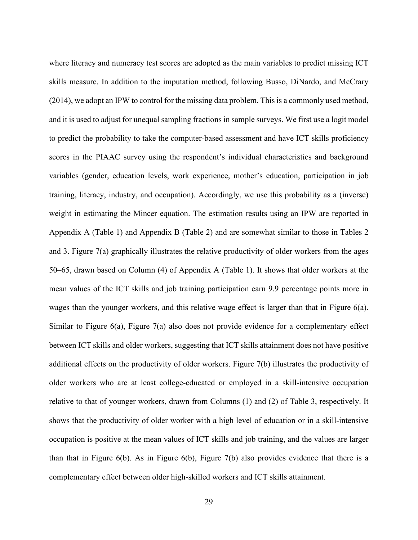where literacy and numeracy test scores are adopted as the main variables to predict missing ICT skills measure. In addition to the imputation method, following Busso, DiNardo, and McCrary (2014), we adopt an IPW to control for the missing data problem. This is a commonly used method, and it is used to adjust for unequal sampling fractions in sample surveys. We first use a logit model to predict the probability to take the computer-based assessment and have ICT skills proficiency scores in the PIAAC survey using the respondent's individual characteristics and background variables (gender, education levels, work experience, mother's education, participation in job training, literacy, industry, and occupation). Accordingly, we use this probability as a (inverse) weight in estimating the Mincer equation. The estimation results using an IPW are reported in Appendix A (Table 1) and Appendix B (Table 2) and are somewhat similar to those in Tables 2 and 3. Figure 7(a) graphically illustrates the relative productivity of older workers from the ages 50–65, drawn based on Column (4) of Appendix A (Table 1). It shows that older workers at the mean values of the ICT skills and job training participation earn 9.9 percentage points more in wages than the younger workers, and this relative wage effect is larger than that in Figure 6(a). Similar to Figure 6(a), Figure 7(a) also does not provide evidence for a complementary effect between ICT skills and older workers, suggesting that ICT skills attainment does not have positive additional effects on the productivity of older workers. Figure 7(b) illustrates the productivity of older workers who are at least college-educated or employed in a skill-intensive occupation relative to that of younger workers, drawn from Columns (1) and (2) of Table 3, respectively. It shows that the productivity of older worker with a high level of education or in a skill-intensive occupation is positive at the mean values of ICT skills and job training, and the values are larger than that in Figure 6(b). As in Figure 6(b), Figure 7(b) also provides evidence that there is a complementary effect between older high-skilled workers and ICT skills attainment.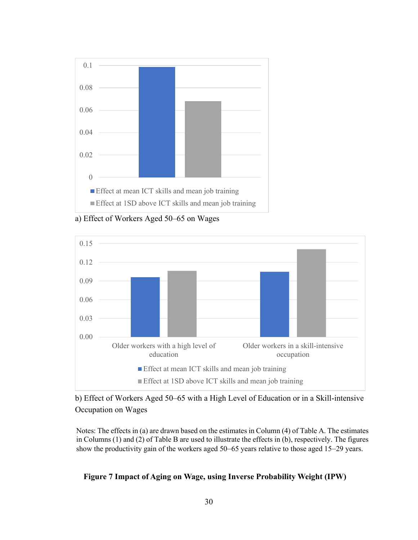

a) Effect of Workers Aged 50–65 on Wages



b) Effect of Workers Aged 50–65 with a High Level of Education or in a Skill-intensive Occupation on Wages

Notes: The effects in (a) are drawn based on the estimates in Column (4) of Table A. The estimates in Columns (1) and (2) of Table B are used to illustrate the effects in (b), respectively. The figures show the productivity gain of the workers aged 50–65 years relative to those aged 15–29 years.

### **Figure 7 Impact of Aging on Wage, using Inverse Probability Weight (IPW)**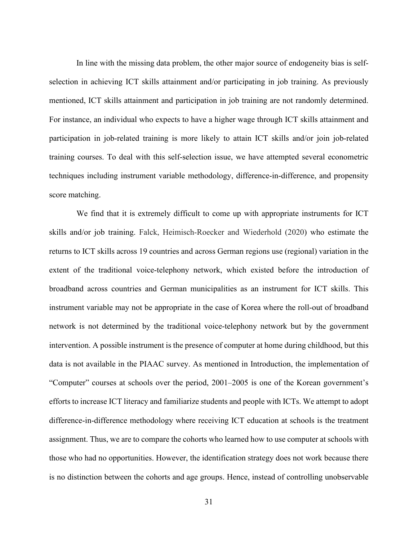In line with the missing data problem, the other major source of endogeneity bias is selfselection in achieving ICT skills attainment and/or participating in job training. As previously mentioned, ICT skills attainment and participation in job training are not randomly determined. For instance, an individual who expects to have a higher wage through ICT skills attainment and participation in job-related training is more likely to attain ICT skills and/or join job-related training courses. To deal with this self-selection issue, we have attempted several econometric techniques including instrument variable methodology, difference-in-difference, and propensity score matching.

We find that it is extremely difficult to come up with appropriate instruments for ICT skills and/or job training. Falck, Heimisch-Roecker and Wiederhold (2020) who estimate the returns to ICT skills across 19 countries and across German regions use (regional) variation in the extent of the traditional voice-telephony network, which existed before the introduction of broadband across countries and German municipalities as an instrument for ICT skills. This instrument variable may not be appropriate in the case of Korea where the roll-out of broadband network is not determined by the traditional voice-telephony network but by the government intervention. A possible instrument is the presence of computer at home during childhood, but this data is not available in the PIAAC survey. As mentioned in Introduction, the implementation of "Computer" courses at schools over the period, 2001–2005 is one of the Korean government's efforts to increase ICT literacy and familiarize students and people with ICTs. We attempt to adopt difference-in-difference methodology where receiving ICT education at schools is the treatment assignment. Thus, we are to compare the cohorts who learned how to use computer at schools with those who had no opportunities. However, the identification strategy does not work because there is no distinction between the cohorts and age groups. Hence, instead of controlling unobservable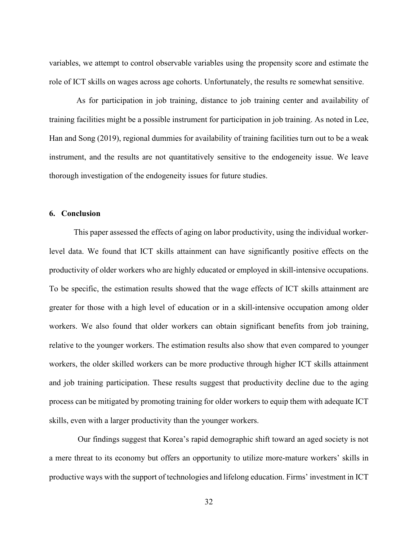variables, we attempt to control observable variables using the propensity score and estimate the role of ICT skills on wages across age cohorts. Unfortunately, the results re somewhat sensitive.

As for participation in job training, distance to job training center and availability of training facilities might be a possible instrument for participation in job training. As noted in Lee, Han and Song (2019), regional dummies for availability of training facilities turn out to be a weak instrument, and the results are not quantitatively sensitive to the endogeneity issue. We leave thorough investigation of the endogeneity issues for future studies.

#### **6. Conclusion**

This paper assessed the effects of aging on labor productivity, using the individual workerlevel data. We found that ICT skills attainment can have significantly positive effects on the productivity of older workers who are highly educated or employed in skill-intensive occupations. To be specific, the estimation results showed that the wage effects of ICT skills attainment are greater for those with a high level of education or in a skill-intensive occupation among older workers. We also found that older workers can obtain significant benefits from job training, relative to the younger workers. The estimation results also show that even compared to younger workers, the older skilled workers can be more productive through higher ICT skills attainment and job training participation. These results suggest that productivity decline due to the aging process can be mitigated by promoting training for older workers to equip them with adequate ICT skills, even with a larger productivity than the younger workers.

Our findings suggest that Korea's rapid demographic shift toward an aged society is not a mere threat to its economy but offers an opportunity to utilize more-mature workers' skills in productive ways with the support of technologies and lifelong education. Firms' investment in ICT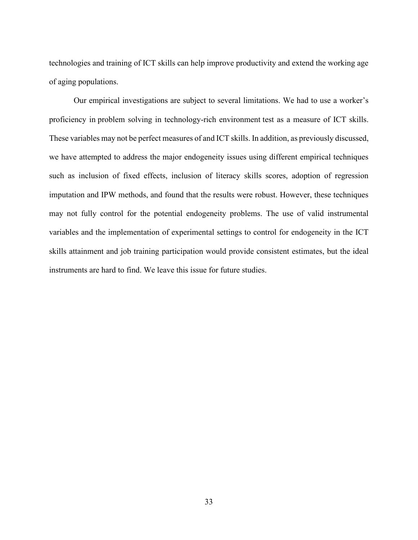technologies and training of ICT skills can help improve productivity and extend the working age of aging populations.

Our empirical investigations are subject to several limitations. We had to use a worker's proficiency in problem solving in technology-rich environment test as a measure of ICT skills. These variables may not be perfect measures of and ICT skills. In addition, as previously discussed, we have attempted to address the major endogeneity issues using different empirical techniques such as inclusion of fixed effects, inclusion of literacy skills scores, adoption of regression imputation and IPW methods, and found that the results were robust. However, these techniques may not fully control for the potential endogeneity problems. The use of valid instrumental variables and the implementation of experimental settings to control for endogeneity in the ICT skills attainment and job training participation would provide consistent estimates, but the ideal instruments are hard to find. We leave this issue for future studies.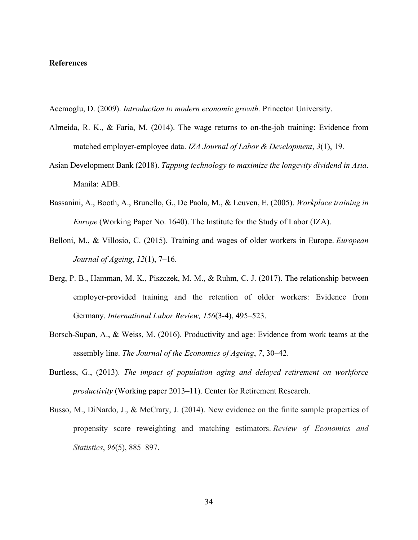#### **References**

Acemoglu, D. (2009). *Introduction to modern economic growth.* Princeton University.

- Almeida, R. K., & Faria, M. (2014). The wage returns to on-the-job training: Evidence from matched employer-employee data. *IZA Journal of Labor & Development*, *3*(1), 19.
- Asian Development Bank (2018). *Tapping technology to maximize the longevity dividend in Asia*. Manila: ADB.
- Bassanini, A., Booth, A., Brunello, G., De Paola, M., & Leuven, E. (2005). *Workplace training in Europe* (Working Paper No. 1640). The Institute for the Study of Labor (IZA).
- Belloni, M., & Villosio, C. (2015). Training and wages of older workers in Europe. *European Journal of Ageing*, *12*(1), 7–16.
- Berg, P. B., Hamman, M. K., Piszczek, M. M., & Ruhm, C. J. (2017). The relationship between employer-provided training and the retention of older workers: Evidence from Germany. *International Labor Review, 156*(3-4), 495–523.
- Borsch-Supan, A., & Weiss, M. (2016). Productivity and age: Evidence from work teams at the assembly line. *The Journal of the Economics of Ageing*, *7*, 30–42.
- Burtless, G., (2013). *The impact of population aging and delayed retirement on workforce productivity* (Working paper 2013–11). Center for Retirement Research.
- Busso, M., DiNardo, J., & McCrary, J. (2014). New evidence on the finite sample properties of propensity score reweighting and matching estimators. *Review of Economics and Statistics*, *96*(5), 885–897.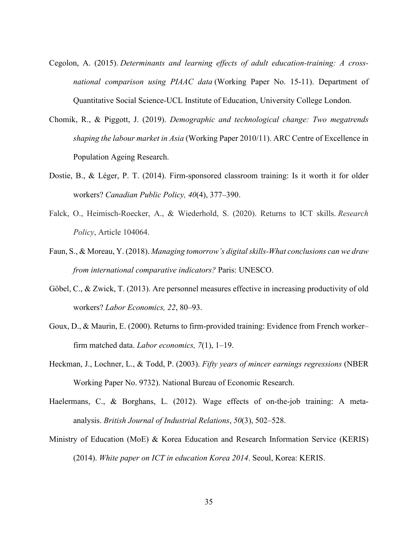- Cegolon, A. (2015). *Determinants and learning effects of adult education-training: A crossnational comparison using PIAAC data* (Working Paper No. 15-11). Department of Quantitative Social Science-UCL Institute of Education, University College London.
- Chomik, R., & Piggott, J. (2019). *Demographic and technological change: Two megatrends shaping the labour market in Asia* (Working Paper 2010/11). ARC Centre of Excellence in Population Ageing Research.
- Dostie, B., & Léger, P. T. (2014). Firm-sponsored classroom training: Is it worth it for older workers? *Canadian Public Policy, 40*(4), 377–390.
- Falck, O., Heimisch-Roecker, A., & Wiederhold, S. (2020). Returns to ICT skills. *Research Policy*, Article 104064.
- Faun, S., & Moreau, Y. (2018). *Managing tomorrow's digital skills-What conclusions can we draw from international comparative indicators?* Paris: UNESCO.
- Göbel, C., & Zwick, T. (2013). Are personnel measures effective in increasing productivity of old workers? *Labor Economics, 22*, 80–93.
- Goux, D., & Maurin, E. (2000). Returns to firm-provided training: Evidence from French worker– firm matched data. *Labor economics, 7*(1), 1–19.
- Heckman, J., Lochner, L., & Todd, P. (2003). *Fifty years of mincer earnings regressions* (NBER Working Paper No. 9732). National Bureau of Economic Research.
- Haelermans, C., & Borghans, L. (2012). Wage effects of on-the-job training: A meta‐ analysis. *British Journal of Industrial Relations*, *50*(3), 502–528.
- Ministry of Education (MoE) & Korea Education and Research Information Service (KERIS) (2014). *White paper on ICT in education Korea 2014*. Seoul, Korea: KERIS.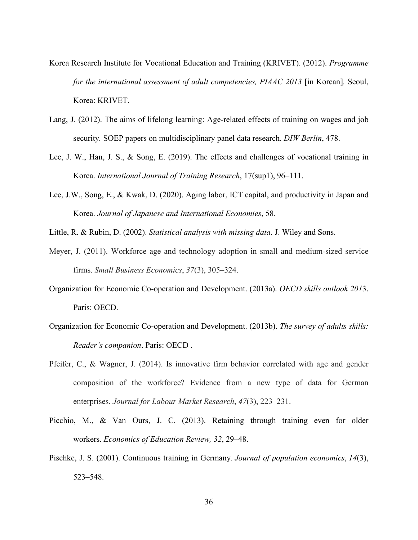- Korea Research Institute for Vocational Education and Training (KRIVET). (2012). *Programme for the international assessment of adult competencies, PIAAC 2013* [in Korean]. Seoul, Korea: KRIVET.
- Lang, J. (2012). The aims of lifelong learning: Age-related effects of training on wages and job security*.* SOEP papers on multidisciplinary panel data research. *DIW Berlin*, 478.
- Lee, J. W., Han, J. S., & Song, E. (2019). The effects and challenges of vocational training in Korea. *International Journal of Training Research*, 17(sup1), 96–111.
- Lee, J.W., Song, E., & Kwak, D. (2020). Aging labor, ICT capital, and productivity in Japan and Korea. *Journal of Japanese and International Economies*, 58.
- Little, R. & Rubin, D. (2002). *Statistical analysis with missing data*. J. Wiley and Sons.
- Meyer, J. (2011). Workforce age and technology adoption in small and medium-sized service firms. *Small Business Economics*, *37*(3), 305–324.
- Organization for Economic Co-operation and Development. (2013a). *OECD skills outlook 201*3. Paris: OECD.
- Organization for Economic Co-operation and Development. (2013b). *The survey of adults skills: Reader's companion*. Paris: OECD .
- Pfeifer, C., & Wagner, J. (2014). Is innovative firm behavior correlated with age and gender composition of the workforce? Evidence from a new type of data for German enterprises. *Journal for Labour Market Research*, *47*(3), 223–231.
- Picchio, M., & Van Ours, J. C. (2013). Retaining through training even for older workers. *Economics of Education Review, 32*, 29–48.
- Pischke, J. S. (2001). Continuous training in Germany. *Journal of population economics*, *14*(3), 523–548.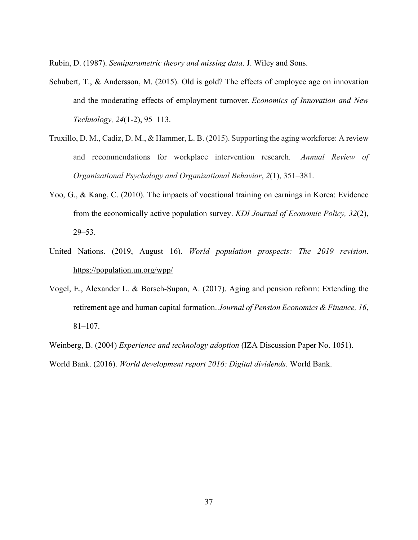Rubin, D. (1987). *Semiparametric theory and missing data*. J. Wiley and Sons.

- Schubert, T., & Andersson, M. (2015). Old is gold? The effects of employee age on innovation and the moderating effects of employment turnover. *Economics of Innovation and New Technology, 24*(1-2), 95–113.
- Truxillo, D. M., Cadiz, D. M., & Hammer, L. B. (2015). Supporting the aging workforce: A review and recommendations for workplace intervention research. *Annual Review of Organizational Psychology and Organizational Behavior*, *2*(1), 351–381.
- Yoo, G., & Kang, C. (2010). The impacts of vocational training on earnings in Korea: Evidence from the economically active population survey. *KDI Journal of Economic Policy, 32*(2), 29–53.
- United Nations. (2019, August 16). *World population prospects: The 2019 revision*. <https://population.un.org/wpp/>
- Vogel, E., Alexander L. & Borsch-Supan, A. (2017). Aging and pension reform: Extending the retirement age and human capital formation. *Journal of Pension Economics & Finance, 16*, 81–107.

Weinberg, B. (2004) *Experience and technology adoption* (IZA Discussion Paper No. 1051). World Bank. (2016). *World development report 2016: Digital dividends*. World Bank.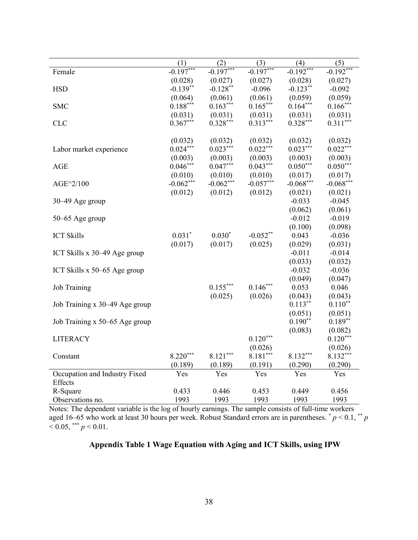|                                | (1)         | (2)         | (3)         | (4)          | (5)         |
|--------------------------------|-------------|-------------|-------------|--------------|-------------|
| Female                         | $-0.197***$ | $-0.197***$ | $-0.197***$ | $-0.192$ *** | $-0.192***$ |
|                                | (0.028)     | (0.027)     | (0.027)     | (0.028)      | (0.027)     |
| <b>HSD</b>                     | $-0.139**$  | $-0.128**$  | $-0.096$    | $-0.123**$   | $-0.092$    |
|                                | (0.064)     | (0.061)     | (0.061)     | (0.059)      | (0.059)     |
| <b>SMC</b>                     | $0.188***$  | $0.163***$  | $0.165***$  | $0.164***$   | $0.166***$  |
|                                | (0.031)     | (0.031)     | (0.031)     | (0.031)      | (0.031)     |
| <b>CLC</b>                     | $0.367***$  | $0.328***$  | $0.313***$  | $0.328***$   | $0.311***$  |
|                                |             |             |             |              |             |
|                                | (0.032)     | (0.032)     | (0.032)     | (0.032)      | (0.032)     |
| Labor market experience        | $0.024***$  | $0.023***$  | $0.022***$  | $0.023***$   | $0.022***$  |
|                                | (0.003)     | (0.003)     | (0.003)     | (0.003)      | (0.003)     |
| <b>AGE</b>                     | $0.046***$  | $0.047***$  | $0.043***$  | $0.050***$   | $0.050***$  |
|                                | (0.010)     | (0.010)     | (0.010)     | (0.017)      | (0.017)     |
| AGE^2/100                      | $-0.062***$ | $-0.062***$ | $-0.057***$ | $-0.068***$  | $-0.068***$ |
|                                | (0.012)     | (0.012)     | (0.012)     | (0.021)      | (0.021)     |
| 30–49 Age group                |             |             |             | $-0.033$     | $-0.045$    |
|                                |             |             |             | (0.062)      | (0.061)     |
| 50–65 Age group                |             |             |             | $-0.012$     | $-0.019$    |
|                                |             |             |             | (0.100)      | (0.098)     |
| <b>ICT Skills</b>              | $0.031*$    | $0.030*$    | $-0.052**$  | 0.043        | $-0.036$    |
|                                | (0.017)     | (0.017)     | (0.025)     | (0.029)      | (0.031)     |
| ICT Skills x 30–49 Age group   |             |             |             | $-0.011$     | $-0.014$    |
|                                |             |             |             | (0.033)      | (0.032)     |
| ICT Skills x 50–65 Age group   |             |             |             | $-0.032$     | $-0.036$    |
|                                |             |             |             | (0.049)      | (0.047)     |
| Job Training                   |             | $0.155***$  | $0.146***$  | 0.053        | 0.046       |
|                                |             | (0.025)     | (0.026)     | (0.043)      | (0.043)     |
| Job Training x 30–49 Age group |             |             |             | $0.113***$   | $0.110**$   |
|                                |             |             |             | (0.051)      | (0.051)     |
| Job Training x 50–65 Age group |             |             |             | $0.190**$    | $0.189**$   |
|                                |             |             |             | (0.083)      | (0.082)     |
| <b>LITERACY</b>                |             |             | $0.120***$  |              | $0.120***$  |
|                                |             |             | (0.026)     |              | (0.026)     |
| Constant                       | $8.220***$  | $8.121***$  | $8.181***$  | $8.132***$   | 8.132***    |
|                                | (0.189)     | (0.189)     | (0.191)     | (0.290)      | (0.290)     |
| Occupation and Industry Fixed  | Yes         | Yes         | Yes         | Yes          | Yes         |
| <b>Effects</b>                 |             |             |             |              |             |
| R-Square                       | 0.433       | 0.446       | 0.453       | 0.449        | 0.456       |
| Observations no.               | 1993        | 1993        | 1993        | 1993         | 1993        |

Notes: The dependent variable is the log of hourly earnings. The sample consists of full-time workers aged 16–65 who work at least 30 hours per week. Robust Standard errors are in parentheses. \* *p* < 0.1, \*\* *p*  $< 0.05,$  \*\*\*  $p < 0.01$ .

## **Appendix Table 1 Wage Equation with Aging and ICT Skills, using IPW**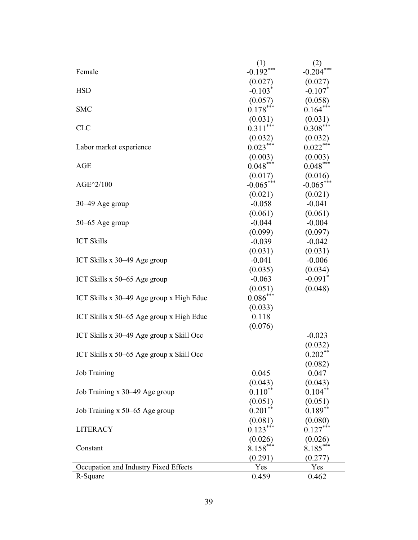| Female                                       | (1)<br>$-0.192***$    | (2)<br>$-0.204***$     |
|----------------------------------------------|-----------------------|------------------------|
|                                              |                       |                        |
| <b>HSD</b>                                   | (0.027)<br>$-0.103*$  | (0.027)<br>$-0.107*$   |
|                                              |                       |                        |
| <b>SMC</b>                                   | (0.057)<br>$0.178***$ | (0.058)<br>$0.164***$  |
|                                              |                       |                        |
| <b>CLC</b>                                   | (0.031)<br>$0.311***$ | (0.031)<br>$0.308***$  |
|                                              | (0.032)               |                        |
| Labor market experience                      | $0.023***$            | (0.032)<br>$0.022***$  |
|                                              | (0.003)               | (0.003)                |
| <b>AGE</b>                                   | $0.048***$            | $0.048***$             |
|                                              | (0.017)               |                        |
| AGE^2/100                                    | $-0.065***$           | (0.016)<br>$-0.065***$ |
|                                              | (0.021)               | (0.021)                |
| $30-49$ Age group                            | $-0.058$              | $-0.041$               |
|                                              | (0.061)               | (0.061)                |
| $50-65$ Age group                            | $-0.044$              | $-0.004$               |
|                                              | (0.099)               | (0.097)                |
| <b>ICT Skills</b>                            | $-0.039$              | $-0.042$               |
|                                              | (0.031)               | (0.031)                |
| ICT Skills $x$ 30–49 Age group               | $-0.041$              | $-0.006$               |
|                                              | (0.035)               | (0.034)                |
| ICT Skills $x 50-65$ Age group               | $-0.063$              | $-0.091$ <sup>*</sup>  |
|                                              | (0.051)               | (0.048)                |
| ICT Skills x 30–49 Age group x High Educ     | $0.086***$            |                        |
|                                              | (0.033)               |                        |
| ICT Skills $x$ 50–65 Age group $x$ High Educ | 0.118                 |                        |
|                                              | (0.076)               |                        |
| ICT Skills x 30–49 Age group x Skill Occ     |                       | $-0.023$               |
|                                              |                       | (0.032)                |
| ICT Skills x 50–65 Age group x Skill Occ     |                       | $0.202**$              |
|                                              |                       | (0.082)                |
| <b>Job Training</b>                          | 0.045                 | 0.047                  |
|                                              | (0.043)               | (0.043)                |
| Job Training x 30–49 Age group               | $0.110***$            | $0.104***$             |
|                                              | (0.051)               | (0.051)                |
| Job Training x 50–65 Age group               | $0.201***$            | $0.189**$              |
|                                              | (0.081)               | (0.080)                |
| <b>LITERACY</b>                              | $0.123***$            | $0.127***$             |
|                                              | (0.026)               | (0.026)                |
| Constant                                     | $8.158***$            | $8.185***$             |
|                                              | (0.291)               | (0.277)                |
| Occupation and Industry Fixed Effects        | Yes                   | Yes                    |
| R-Square                                     | 0.459                 | 0.462                  |